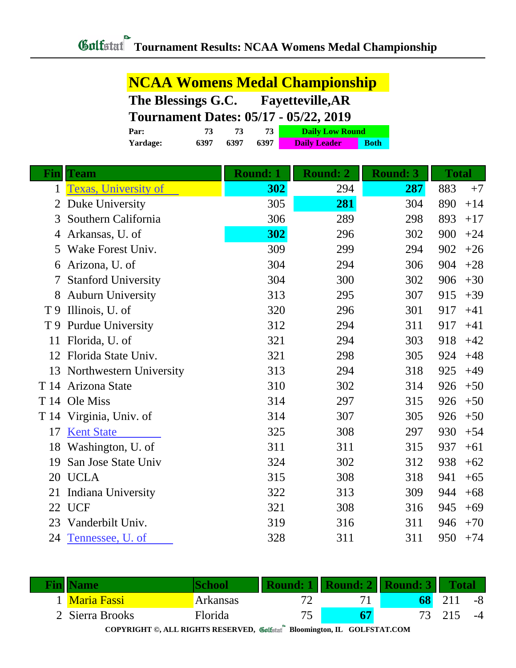**NCAA Womens Medal Championship**

|                                              | The Blessings G.C.<br><b>Fayetteville, AR</b> |      |                              |                     |                 |              |       |  |
|----------------------------------------------|-----------------------------------------------|------|------------------------------|---------------------|-----------------|--------------|-------|--|
| <b>Tournament Dates: 05/17 - 05/22, 2019</b> |                                               |      |                              |                     |                 |              |       |  |
|                                              | 73<br>Par:                                    | 73   | 73<br><b>Daily Low Round</b> |                     |                 |              |       |  |
|                                              | 6397<br>Yardage:                              | 6397 | 6397                         | <b>Daily Leader</b> | <b>Both</b>     |              |       |  |
|                                              |                                               |      |                              |                     |                 |              |       |  |
|                                              | <b>Fin</b> Team                               |      | <b>Round: 1</b>              | <b>Round: 2</b>     | <b>Round: 3</b> | <b>Total</b> |       |  |
| $\mathbf{1}$                                 | <b>Texas, University of</b>                   |      | 302                          | 294                 | 287             | 883          | $+7$  |  |
| 2                                            | Duke University                               |      | 305                          | 281                 | 304             | 890          | $+14$ |  |
| 3                                            | Southern California                           |      | 306                          | 289                 | 298             | 893          | $+17$ |  |
| 4                                            | Arkansas, U. of                               |      | 302                          | 296                 | 302             | 900          | $+24$ |  |
| 5                                            | Wake Forest Univ.                             |      | 309                          | 299                 | 294             | 902          | $+26$ |  |
| 6                                            | Arizona, U. of                                |      | 304                          | 294                 | 306             | 904          | $+28$ |  |
| 7                                            | <b>Stanford University</b>                    |      | 304                          | 300                 | 302             | 906          | $+30$ |  |
| 8                                            | <b>Auburn University</b>                      |      | 313                          | 295                 | 307             | 915          | $+39$ |  |
| T 9                                          | Illinois, U. of                               |      | 320                          | 296                 | 301             | 917          | $+41$ |  |
| T 9                                          | <b>Purdue University</b>                      |      | 312                          | 294                 | 311             | 917          | $+41$ |  |
| 11                                           | Florida, U. of                                |      | 321                          | 294                 | 303             | 918          | $+42$ |  |
| 12                                           | Florida State Univ.                           |      | 321                          | 298                 | 305             | 924          | $+48$ |  |
| 13                                           | Northwestern University                       |      | 313                          | 294                 | 318             | 925          | $+49$ |  |
| T 14                                         | Arizona State                                 |      | 310                          | 302                 | 314             | 926          | $+50$ |  |
| T 14                                         | Ole Miss                                      |      | 314                          | 297                 | 315             | 926          | $+50$ |  |
|                                              | T 14 Virginia, Univ. of                       |      | 314                          | 307                 | 305             | 926          | $+50$ |  |
| 17                                           | <b>Kent State</b>                             |      | 325                          | 308                 | 297             | 930          | $+54$ |  |
|                                              | 18 Washington, U. of                          |      | 311                          | 311                 | 315             | 937          | $+61$ |  |
| 19                                           | San Jose State Univ                           |      | 324                          | 302                 | 312             | 938          | $+62$ |  |
|                                              | 20 UCLA                                       |      | 315                          | 308                 | 318             | 941          | $+65$ |  |
|                                              | 21 Indiana University                         |      | 322                          | 313                 | 309             | 944          | $+68$ |  |
|                                              | 22 UCF                                        |      | 321                          | 308                 | 316             | 945          | $+69$ |  |
|                                              | 23 Vanderbilt Univ.                           |      | 319                          | 316                 | 311             | 946          | $+70$ |  |
|                                              | 24 Tennessee, U. of                           |      | 328                          | 311                 | 311             | 950          | $+74$ |  |

|                    |          |                 |       | <b>Sound: 2    Round: 3  </b> |     |      |
|--------------------|----------|-----------------|-------|-------------------------------|-----|------|
| <b>Maria Fassi</b> | Arkansas |                 |       | 68                            |     | -8   |
| 2 Sierra Brooks    | Florida  |                 |       |                               | 215 | $-4$ |
|                    |          | $- -$<br>-- - - | $- -$ |                               |     |      |

**COPYRIGHT ©, ALL RIGHTS RESERVED, Bloomington, IL GOLFSTAT.COM**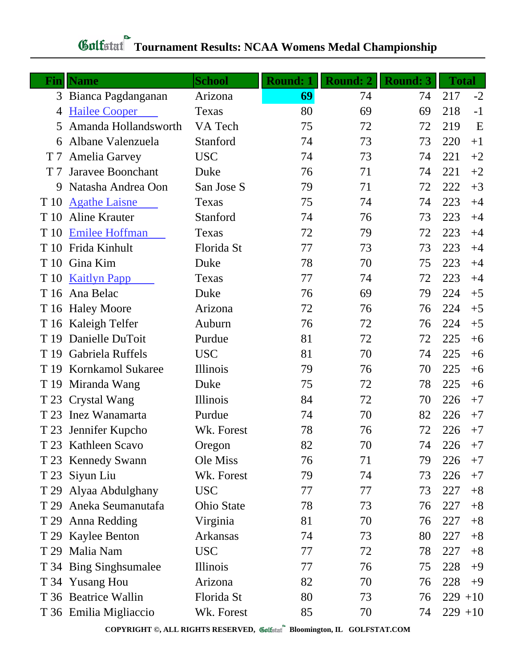|                | <b>Fin</b> Name          | <b>School</b> | <b>Round: 1</b> | <b>Round: 2</b> | <b>Round: 3</b> | <b>Total</b> |                           |
|----------------|--------------------------|---------------|-----------------|-----------------|-----------------|--------------|---------------------------|
| 3              | Bianca Pagdanganan       | Arizona       | 69              | 74              | 74              | 217          | $-2$                      |
| 4              | <b>Hailee Cooper</b>     | Texas         | 80              | 69              | 69              | 218          | $-1$                      |
| 5              | Amanda Hollandsworth     | VA Tech       | 75              | 72              | 72              | 219          | $\boldsymbol{\mathrm{E}}$ |
| 6              | Albane Valenzuela        | Stanford      | 74              | 73              | 73              | 220          | $+1$                      |
| T 7            | <b>Amelia Garvey</b>     | <b>USC</b>    | 74              | 73              | 74              | 221          | $+2$                      |
| T <sub>7</sub> | Jaravee Boonchant        | Duke          | 76              | 71              | 74              | 221          | $+2$                      |
| 9              | Natasha Andrea Oon       | San Jose S    | 79              | 71              | 72              | 222          | $+3$                      |
| T 10           | <b>Agathe Laisne</b>     | Texas         | 75              | 74              | 74              | 223          | $+4$                      |
| T 10           | <b>Aline Krauter</b>     | Stanford      | 74              | 76              | 73              | 223          | $+4$                      |
| T 10           | <b>Emilee Hoffman</b>    | Texas         | 72              | 79              | 72              | 223          | $+4$                      |
| T 10           | Frida Kinhult            | Florida St    | 77              | 73              | 73              | 223          | $+4$                      |
| T 10           | Gina Kim                 | Duke          | 78              | 70              | 75              | 223          | $+4$                      |
| T 10           | <b>Kaitlyn Papp</b>      | Texas         | 77              | 74              | 72              | 223          | $+4$                      |
| T 16           | Ana Belac                | Duke          | 76              | 69              | 79              | 224          | $+5$                      |
|                | T 16 Haley Moore         | Arizona       | 72              | 76              | 76              | 224          | $+5$                      |
|                | T 16 Kaleigh Telfer      | Auburn        | 76              | 72              | 76              | 224          | $+5$                      |
| T 19           | Danielle DuToit          | Purdue        | 81              | 72              | 72              | 225          | $+6$                      |
| T 19           | Gabriela Ruffels         | <b>USC</b>    | 81              | 70              | 74              | 225          | $+6$                      |
| T 19           | <b>Kornkamol Sukaree</b> | Illinois      | 79              | 76              | 70              | 225          | $+6$                      |
| T 19           | Miranda Wang             | Duke          | 75              | 72              | 78              | 225          | $+6$                      |
|                | T 23 Crystal Wang        | Illinois      | 84              | 72              | 70              | 226          | $+7$                      |
| T 23           | Inez Wanamarta           | Purdue        | 74              | 70              | 82              | 226          | $+7$                      |
| T 23           | Jennifer Kupcho          | Wk. Forest    | 78              | 76              | 72              | 226          | $+7$                      |
|                | T 23 Kathleen Scavo      | Oregon        | 82              | 70              | 74              | 226          | $+7$                      |
|                | T 23 Kennedy Swann       | Ole Miss      | 76              | 71              | 79              | 226          | $+7$                      |
|                | T 23 Siyun Liu           | Wk. Forest    | 79              | 74              | 73              | 226          | $+7$                      |
| T 29           | Alyaa Abdulghany         | <b>USC</b>    | 77              | 77              | 73              | 227          | $+8$                      |
| T 29           | Aneka Seumanutafa        | Ohio State    | 78              | 73              | 76              | 227          | $+8$                      |
| T 29           | Anna Redding             | Virginia      | 81              | 70              | 76              | 227          | $+8$                      |
|                | T 29 Kaylee Benton       | Arkansas      | 74              | 73              | 80              | 227          | $+8$                      |
| T 29           | Malia Nam                | <b>USC</b>    | 77              | 72              | 78              | 227          | $+8$                      |
|                | T 34 Bing Singh sumalee  | Illinois      | 77              | 76              | 75              | 228          | $+9$                      |
|                | T 34 Yusang Hou          | Arizona       | 82              | 70              | 76              | 228          | $+9$                      |
|                | T 36 Beatrice Wallin     | Florida St    | 80              | 73              | 76              | $229 + 10$   |                           |
|                | T 36 Emilia Migliaccio   | Wk. Forest    | 85              | 70              | 74              | $229 + 10$   |                           |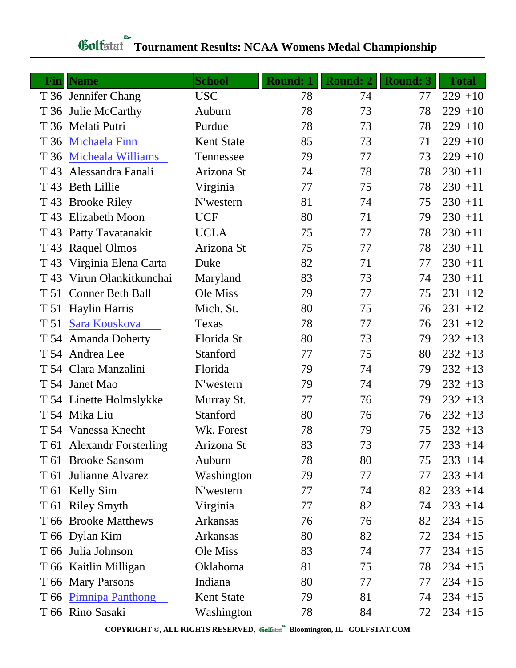|      | <b>Fin</b>   Name         | <b>School</b>     | <b>Round: 1</b> | <b>Round: 2</b> | <b>Round: 3</b> | <b>Total</b> |
|------|---------------------------|-------------------|-----------------|-----------------|-----------------|--------------|
|      | T 36 Jennifer Chang       | <b>USC</b>        | 78              | 74              | 77              | $229 + 10$   |
|      | T 36 Julie McCarthy       | Auburn            | 78              | 73              | 78              | $229 + 10$   |
|      | T 36 Melati Putri         | Purdue            | 78              | 73              | 78              | $229 + 10$   |
|      | T 36 Michaela Finn        | <b>Kent State</b> | 85              | 73              | 71              | $229 + 10$   |
|      | T 36 Micheala Williams    | Tennessee         | 79              | 77              | 73              | $229 + 10$   |
| T 43 | Alessandra Fanali         | Arizona St        | 74              | 78              | 78              | $230 + 11$   |
|      | T 43 Beth Lillie          | Virginia          | 77              | 75              | 78              | $230 + 11$   |
|      | T 43 Brooke Riley         | N'western         | 81              | 74              | 75              | $230 + 11$   |
|      | T 43 Elizabeth Moon       | <b>UCF</b>        | 80              | 71              | 79              | $230 + 11$   |
|      | T 43 Patty Tavatanakit    | <b>UCLA</b>       | 75              | 77              | 78              | $230 + 11$   |
|      | T 43 Raquel Olmos         | Arizona St        | 75              | 77              | 78              | $230 + 11$   |
|      | T 43 Virginia Elena Carta | Duke              | 82              | 71              | 77              | $230 + 11$   |
|      | T 43 Virun Olankitkunchai | Maryland          | 83              | 73              | 74              | $230 + 11$   |
|      | T 51 Conner Beth Ball     | Ole Miss          | 79              | 77              | 75              | $231 + 12$   |
|      | T 51 Haylin Harris        | Mich. St.         | 80              | 75              | 76              | $231 + 12$   |
|      | T 51 Sara Kouskova        | Texas             | 78              | 77              | 76              | $231 + 12$   |
|      | T 54 Amanda Doherty       | Florida St        | 80              | 73              | 79              | $232 + 13$   |
|      | T 54 Andrea Lee           | Stanford          | 77              | 75              | 80              | $232 + 13$   |
|      | T 54 Clara Manzalini      | Florida           | 79              | 74              | 79              | $232 + 13$   |
|      | T 54 Janet Mao            | N'western         | 79              | 74              | 79              | $232 + 13$   |
|      | T 54 Linette Holmslykke   | Murray St.        | 77              | 76              | 79              | $232 + 13$   |
|      | T 54 Mika Liu             | Stanford          | 80              | 76              | 76              | $232 + 13$   |
|      | T 54 Vanessa Knecht       | Wk. Forest        | 78              | 79              | 75              | $232 + 13$   |
|      | T 61 Alexandr Forsterling | Arizona St        | 83              | 73              | 77              | $233 + 14$   |
|      | T 61 Brooke Sansom        | Auburn            | 78              | 80              | 75              | $233 + 14$   |
|      | T 61 Julianne Alvarez     | Washington        | 79              | 77              | 77              | $233 + 14$   |
|      | T 61 Kelly Sim            | N'western         | 77              | 74              | 82              | $233 + 14$   |
|      | T 61 Riley Smyth          | Virginia          | 77              | 82              | 74              | $233 + 14$   |
|      | T 66 Brooke Matthews      | <b>Arkansas</b>   | 76              | 76              | 82              | $234 + 15$   |
|      | T 66 Dylan Kim            | Arkansas          | 80              | 82              | 72              | $234 + 15$   |
|      | T 66 Julia Johnson        | Ole Miss          | 83              | 74              | 77              | $234 + 15$   |
|      | T 66 Kaitlin Milligan     | Oklahoma          | 81              | 75              | 78              | $234 + 15$   |
|      | T 66 Mary Parsons         | Indiana           | 80              | 77              | 77              | $234 + 15$   |
|      | T 66 Pimnipa Panthong     | <b>Kent State</b> | 79              | 81              | 74              | $234 + 15$   |
|      | T 66 Rino Sasaki          | Washington        | 78              | 84              | 72              | $234 + 15$   |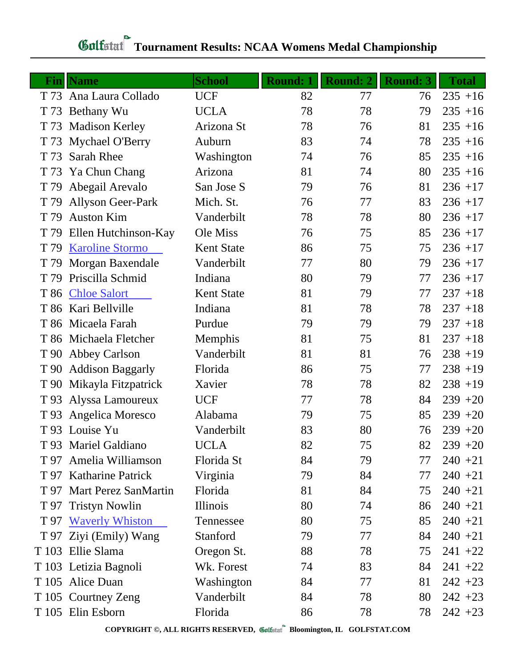| $\bf{Fin}$ | <b>Name</b>               | <b>School</b>     | <b>Round: 1</b> | <b>Round: 2</b> | <b>Round: 3</b> | <b>Total</b> |
|------------|---------------------------|-------------------|-----------------|-----------------|-----------------|--------------|
|            | T 73 Ana Laura Collado    | <b>UCF</b>        | 82              | 77              | 76              | $235 + 16$   |
| T 73       | Bethany Wu                | <b>UCLA</b>       | 78              | 78              | 79              | $235 + 16$   |
| T 73       | <b>Madison Kerley</b>     | Arizona St        | 78              | 76              | 81              | $235 + 16$   |
| T 73       | <b>Mychael O'Berry</b>    | Auburn            | 83              | 74              | 78              | $235 + 16$   |
| T 73       | <b>Sarah Rhee</b>         | Washington        | 74              | 76              | 85              | $235 + 16$   |
| T 73       | Ya Chun Chang             | Arizona           | 81              | 74              | 80              | $235 + 16$   |
| T 79       | Abegail Arevalo           | San Jose S        | 79              | 76              | 81              | $236 + 17$   |
| T 79       | <b>Allyson Geer-Park</b>  | Mich. St.         | 76              | 77              | 83              | $236 + 17$   |
| T 79       | <b>Auston Kim</b>         | Vanderbilt        | 78              | 78              | 80              | $236 + 17$   |
| T 79       | Ellen Hutchinson-Kay      | Ole Miss          | 76              | 75              | 85              | $236 + 17$   |
| T 79       | <b>Karoline Stormo</b>    | <b>Kent State</b> | 86              | 75              | 75              | $236 + 17$   |
| T 79       | Morgan Baxendale          | Vanderbilt        | 77              | 80              | 79              | $236 + 17$   |
| T 79       | Priscilla Schmid          | Indiana           | 80              | 79              | 77              | $236 + 17$   |
|            | T 86 Chloe Salort         | <b>Kent State</b> | 81              | 79              | 77              | $237 + 18$   |
|            | T 86 Kari Bellville       | Indiana           | 81              | 78              | 78              | $237 + 18$   |
|            | T 86 Micaela Farah        | Purdue            | 79              | 79              | 79              | $237 + 18$   |
|            | T 86 Michaela Fletcher    | Memphis           | 81              | 75              | 81              | $237 + 18$   |
| T 90       | <b>Abbey Carlson</b>      | Vanderbilt        | 81              | 81              | 76              | $238 + 19$   |
| T 90       | <b>Addison Baggarly</b>   | Florida           | 86              | 75              | 77              | $238 + 19$   |
| T 90       | Mikayla Fitzpatrick       | Xavier            | 78              | 78              | 82              | $238 + 19$   |
|            | T 93 Alyssa Lamoureux     | <b>UCF</b>        | 77              | 78              | 84              | $239 + 20$   |
| T 93       | Angelica Moresco          | Alabama           | 79              | 75              | 85              | $239 + 20$   |
|            | T 93 Louise Yu            | Vanderbilt        | 83              | 80              | 76              | $239 + 20$   |
|            | T 93 Mariel Galdiano      | <b>UCLA</b>       | 82              | 75              | 82              | $239 + 20$   |
| T 97       | Amelia Williamson         | Florida St        | 84              | 79              | 77              | $240 + 21$   |
|            | T 97 Katharine Patrick    | Virginia          | 79              | 84              | 77              | $240 + 21$   |
|            | T 97 Mart Perez SanMartin | Florida           | 81              | 84              | 75              | $240 + 21$   |
| T 97       | <b>Tristyn Nowlin</b>     | Illinois          | 80              | 74              | 86              | $240 + 21$   |
|            | T 97 Waverly Whiston      | Tennessee         | 80              | 75              | 85              | $240 + 21$   |
|            | T 97 Ziyi (Emily) Wang    | Stanford          | 79              | 77              | 84              | $240 + 21$   |
|            | T 103 Ellie Slama         | Oregon St.        | 88              | 78              | 75              | $241 + 22$   |
|            | T 103 Letizia Bagnoli     | Wk. Forest        | 74              | 83              | 84              | $241 + 22$   |
|            | T 105 Alice Duan          | Washington        | 84              | 77              | 81              | $242 + 23$   |
|            | T 105 Courtney Zeng       | Vanderbilt        | 84              | 78              | 80              | $242 + 23$   |
|            | T 105 Elin Esborn         | Florida           | 86              | 78              | 78              | $242 + 23$   |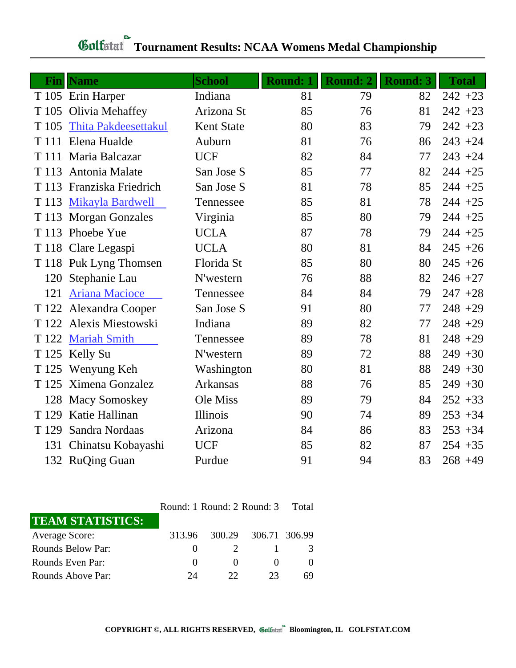|       | <b>Fin  Name</b>            | <b>School</b>     | <b>Round: 1</b> | <b>Round: 2</b> | <b>Round: 3</b> | <b>Total</b> |
|-------|-----------------------------|-------------------|-----------------|-----------------|-----------------|--------------|
|       | T 105 Erin Harper           | Indiana           | 81              | 79              | 82              | $242 + 23$   |
|       | T 105 Olivia Mehaffey       | Arizona St        | 85              | 76              | 81              | $242 + 23$   |
| T 105 | <b>Thita Pakdeesettakul</b> | <b>Kent State</b> | 80              | 83              | 79              | $242 + 23$   |
|       | T 111 Elena Hualde          | Auburn            | 81              | 76              | 86              | $243 + 24$   |
|       | T 111 Maria Balcazar        | <b>UCF</b>        | 82              | 84              | 77              | $243 + 24$   |
|       | T 113 Antonia Malate        | San Jose S        | 85              | 77              | 82              | $244 + 25$   |
|       | T 113 Franziska Friedrich   | San Jose S        | 81              | 78              | 85              | $244 + 25$   |
|       | T 113 Mikayla Bardwell      | Tennessee         | 85              | 81              | 78              | $244 + 25$   |
|       | T 113 Morgan Gonzales       | Virginia          | 85              | 80              | 79              | $244 + 25$   |
|       | T 113 Phoebe Yue            | <b>UCLA</b>       | 87              | 78              | 79              | $244 + 25$   |
|       | T 118 Clare Legaspi         | <b>UCLA</b>       | 80              | 81              | 84              | $245 + 26$   |
|       | T 118 Puk Lyng Thomsen      | Florida St        | 85              | 80              | 80              | $245 + 26$   |
| 120   | Stephanie Lau               | N'western         | 76              | 88              | 82              | $246 + 27$   |
| 121   | <b>Ariana Macioce</b>       | Tennessee         | 84              | 84              | 79              | $247 + 28$   |
|       | T 122 Alexandra Cooper      | San Jose S        | 91              | 80              | 77              | $248 + 29$   |
|       | T 122 Alexis Miestowski     | Indiana           | 89              | 82              | 77              | $248 + 29$   |
|       | T 122 Mariah Smith          | Tennessee         | 89              | 78              | 81              | $248 + 29$   |
|       | T 125 Kelly Su              | N'western         | 89              | 72              | 88              | $249 + 30$   |
|       | T 125 Wenyung Keh           | Washington        | 80              | 81              | 88              | $249 + 30$   |
|       | T 125 Ximena Gonzalez       | <b>Arkansas</b>   | 88              | 76              | 85              | $249 + 30$   |
|       | 128 Macy Somoskey           | Ole Miss          | 89              | 79              | 84              | $252 + 33$   |
| T 129 | Katie Hallinan              | Illinois          | 90              | 74              | 89              | $253 + 34$   |
| T 129 | Sandra Nordaas              | Arizona           | 84              | 86              | 83              | $253 + 34$   |
|       | 131 Chinatsu Kobayashi      | <b>UCF</b>        | 85              | 82              | 87              | $254 + 35$   |
|       | 132 RuQing Guan             | Purdue            | 91              | 94              | 83              | $268 + 49$   |

|                         | Round: 1 Round: 2 Round: 3 |                      |    | Total |
|-------------------------|----------------------------|----------------------|----|-------|
| <b>TEAM STATISTICS:</b> |                            |                      |    |       |
| <b>Average Score:</b>   | 313.96                     | 300.29 306.71 306.99 |    |       |
| Rounds Below Par:       | $\mathbf{\Omega}$          |                      |    |       |
| Rounds Even Par:        | $\left( \right)$           | $\mathbf{\Omega}$    |    |       |
| Rounds Above Par:       | 94                         | 22                   | 23 | 69    |